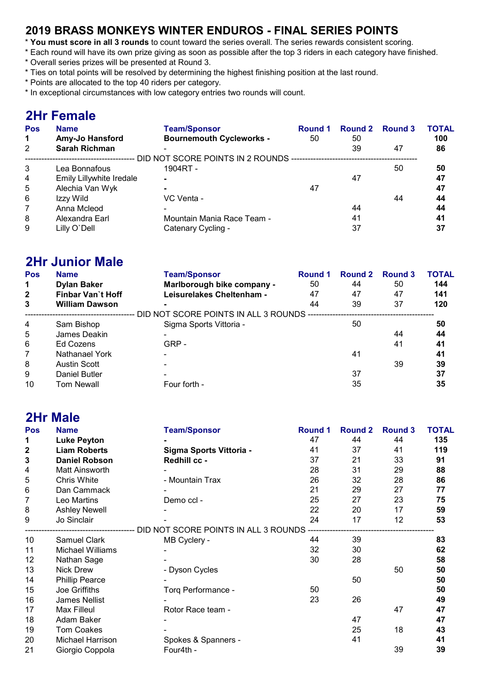#### 2019 BRASS MONKEYS WINTER ENDUROS - FINAL SERIES POINTS

- \* You must score in all 3 rounds to count toward the series overall. The series rewards consistent scoring.
- \* Each round will have its own prize giving as soon as possible after the top 3 riders in each category have finished.
- \* Overall series prizes will be presented at Round 3.
- \* Ties on total points will be resolved by determining the highest finishing position at the last round.
- \* Points are allocated to the top 40 riders per category.
- \* In exceptional circumstances with low category entries two rounds will count.

#### 2Hr Female

| <b>Pos</b>  | <b>Name</b>              | <b>Team/Sponsor</b>                                  | Round 1 | Round 2 Round 3 |    | <b>TOTAL</b> |
|-------------|--------------------------|------------------------------------------------------|---------|-----------------|----|--------------|
| $\mathbf 1$ | Amy-Jo Hansford          | <b>Bournemouth Cycleworks -</b>                      | 50      | 50              |    | 100          |
| 2           | <b>Sarah Richman</b>     |                                                      |         | 39              | 47 | 86           |
|             |                          | DID NOT SCORE POINTS IN 2 ROUNDS ------------------- |         |                 |    |              |
| 3           | Lea Bonnafous            | 1904RT -                                             |         |                 | 50 | 50           |
| 4           | Emily Lillywhite Iredale | $\blacksquare$                                       |         | 47              |    | 47           |
| 5           | Alechia Van Wyk          | $\blacksquare$                                       | 47      |                 |    | 47           |
| 6           | Izzy Wild                | VC Venta -                                           |         |                 | 44 | 44           |
| 7           | Anna Mcleod              | $\overline{\phantom{0}}$                             |         | 44              |    | 44           |
| 8           | Alexandra Earl           | Mountain Mania Race Team -                           |         | 41              |    | 41           |
| 9           | Lilly O'Dell             | Catenary Cycling -                                   |         | 37              |    | 37           |

#### 2Hr Junior Male

| Pos<br>$\mathbf 1$ | <b>Name</b><br><b>Dylan Baker</b> | <b>Team/Sponsor</b><br>Marlborough bike company - | Round 1<br>50 | <b>Round 2</b><br>44 | Round 3<br>50 | <b>TOTAL</b><br>144 |
|--------------------|-----------------------------------|---------------------------------------------------|---------------|----------------------|---------------|---------------------|
| $\overline{2}$     | Finbar Van't Hoff                 | Leisurelakes Cheltenham -                         | 47            | 47                   | 47            | 141                 |
| 3                  | <b>William Dawson</b>             | -                                                 | 44            | 39                   | 37            | 120                 |
|                    |                                   | DID NOT SCORE POINTS IN ALL 3 ROUNDS -            |               |                      |               |                     |
| $\overline{4}$     | Sam Bishop                        | Sigma Sports Vittoria -                           |               | 50                   |               | 50                  |
| 5                  | James Deakin                      |                                                   |               |                      | 44            | 44                  |
| 6                  | Ed Cozens                         | GRP-                                              |               |                      | 41            | 41                  |
| 7                  | Nathanael York                    |                                                   |               | 41                   |               | 41                  |
| 8                  | Austin Scott                      |                                                   |               |                      | 39            | 39                  |
| 9                  | Daniel Butler                     |                                                   |               | 37                   |               | 37                  |
| 10                 | Tom Newall                        | Four forth -                                      |               | 35                   |               | 35                  |

#### 2Hr Male Pos Name Team/Sponsor Round 1 Round 2 Round 3 TOTAL 1 Luke Peyton - 47 44 44 135 1 Luke Peyton - 2 Liam Roberts - 59 Correspondence in the Correspondence in the Correspondence in the Correspondence in the Correspondence in the Correspondence in the Correspondence in the Correspondence in the Correspond 3 Daniel Robson Redhill cc - 37 33 91 4 Matt Ainsworth **-** 28 31 29 88 5 Chris White **- Mountain Trax** 26 32 28 86 6 Dan Cammack - 21 29 27 77 7 Leo Martins **Demo ccl** - 25 27 23 75 8 Ashley Newell **-** 22 20 17 59 9 Jo Sinclair - 24 17 12 53 --- DID NOT SCORE POINTS IN ALL 3 ROUNDS ----10 Samuel Clark MB Cyclery - 44 39 83 11 Michael Williams - 32 30 62 12 Nathan Sage **-** 30 28 58 13 Nick Drew **- Dyson Cycles** 60 50 50 50 14 Phillip Pearce **- 50 50** 50 50 15 Joe Griffiths **Torq Performance -** 50 50 16 James Nellist **49 23** 26 **49** 17 Max Filleul Rotor Race team - 18 Max Filleul 18 Max 27 47<br>18 Adam Baker - 18 May 19 March 18 March 18 March 18 March 18 March 18 March 18 March 18 March 18 March 18 Mar<br>18 March 18 March 18 March 18 March 18 March 18 Ma 18 Adam Baker 1988 - 1991 - 1992 - 1993 - 1994 - 1994 - 1995 - 1996 - 1997 - 1998 - 1998 - 1998 - 1999 - 1999 - 1 19 Tom Coakes - 25 25 18 25 20 Michael Harrison Spokes & Spanners - 41 41 41 21 Giorgio Coppola Four4th - 39 39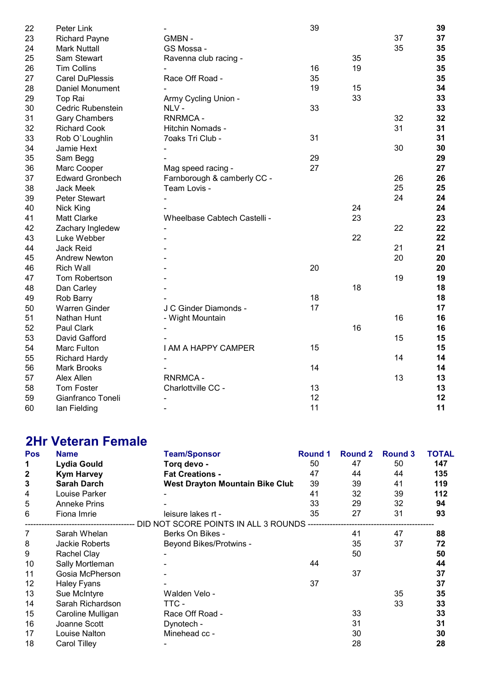| Peter Link             |                              | 39                   |    |    | 39 |
|------------------------|------------------------------|----------------------|----|----|----|
| <b>Richard Payne</b>   | GMBN-                        |                      |    | 37 | 37 |
| <b>Mark Nuttall</b>    | GS Mossa -                   |                      |    | 35 | 35 |
| Sam Stewart            | Ravenna club racing -        |                      | 35 |    | 35 |
| <b>Tim Collins</b>     |                              | 16                   | 19 |    | 35 |
| <b>Carel DuPlessis</b> | Race Off Road -              | 35                   |    |    | 35 |
| Daniel Monument        |                              | 19                   | 15 |    | 34 |
| Top Rai                |                              |                      | 33 |    | 33 |
| Cedric Rubenstein      | NLV-                         | 33                   |    |    | 33 |
| <b>Gary Chambers</b>   | <b>RNRMCA-</b>               |                      |    | 32 | 32 |
| <b>Richard Cook</b>    | Hitchin Nomads -             |                      |    | 31 | 31 |
| Rob O'Loughlin         | 7oaks Tri Club -             | 31                   |    |    | 31 |
| Jamie Hext             |                              |                      |    | 30 | 30 |
| Sam Begg               |                              | 29                   |    |    | 29 |
| Marc Cooper            | Mag speed racing -           | 27                   |    |    | 27 |
| <b>Edward Gronbech</b> | Farnborough & camberly CC -  |                      |    | 26 | 26 |
| <b>Jack Meek</b>       | Team Lovis -                 |                      |    | 25 | 25 |
| Peter Stewart          |                              |                      |    | 24 | 24 |
| Nick King              |                              |                      | 24 |    | 24 |
| <b>Matt Clarke</b>     | Wheelbase Cabtech Castelli - |                      | 23 |    | 23 |
| Zachary Ingledew       |                              |                      |    | 22 | 22 |
| Luke Webber            |                              |                      | 22 |    | 22 |
| Jack Reid              |                              |                      |    | 21 | 21 |
| <b>Andrew Newton</b>   |                              |                      |    | 20 | 20 |
| <b>Rich Wall</b>       |                              | 20                   |    |    | 20 |
| Tom Robertson          |                              |                      |    | 19 | 19 |
| Dan Carley             |                              |                      | 18 |    | 18 |
| Rob Barry              |                              | 18                   |    |    | 18 |
| <b>Warren Ginder</b>   | J C Ginder Diamonds -        | 17                   |    |    | 17 |
| Nathan Hunt            | - Wight Mountain             |                      |    | 16 | 16 |
| Paul Clark             |                              |                      | 16 |    | 16 |
| David Gafford          |                              |                      |    | 15 | 15 |
| Marc Fulton            | I AM A HAPPY CAMPER          | 15                   |    |    | 15 |
| <b>Richard Hardy</b>   |                              |                      |    | 14 | 14 |
| <b>Mark Brooks</b>     |                              | 14                   |    |    | 14 |
| Alex Allen             | <b>RNRMCA-</b>               |                      |    | 13 | 13 |
| Tom Foster             | Charlottville CC -           | 13                   |    |    | 13 |
| Gianfranco Toneli      |                              | 12                   |    |    | 12 |
| lan Fielding           |                              | 11                   |    |    | 11 |
|                        |                              | Army Cycling Union - |    |    |    |

#### 2Hr Veteran Female

| <b>Pos</b>   | <b>Name</b>         | <b>Team/Sponsor</b>                                                              | Round 1 | <b>Round 2</b> | Round 3 | <b>TOTAL</b> |
|--------------|---------------------|----------------------------------------------------------------------------------|---------|----------------|---------|--------------|
| 1            | Lydia Gould         | Torq devo -                                                                      | 50      | 47             | 50      | 147          |
| $\mathbf{2}$ | <b>Kym Harvey</b>   | <b>Fat Creations -</b>                                                           | 47      | 44             | 44      | 135          |
| 3            | <b>Sarah Darch</b>  | <b>West Drayton Mountain Bike Clut</b>                                           | 39      | 39             | 41      | 119          |
| 4            | Louise Parker       |                                                                                  | 41      | 32             | 39      | 112          |
| 5            | <b>Anneke Prins</b> |                                                                                  | 33      | 29             | 32      | 94           |
| 6            | Fiona Imrie         | leisure lakes rt -                                                               | 35      | 27             | 31      | 93           |
|              |                     | ----------------------------- DID NOT SCORE POINTS IN ALL 3 ROUNDS ------------- |         |                |         |              |
| 7            | Sarah Whelan        | Berks On Bikes -                                                                 |         | 41             | 47      | 88           |
| 8            | Jackie Roberts      | Beyond Bikes/Protwins -                                                          |         | 35             | 37      | 72           |
| 9            | Rachel Clay         |                                                                                  |         | 50             |         | 50           |
| 10           | Sally Mortleman     |                                                                                  | 44      |                |         | 44           |
| 11           | Gosia McPherson     |                                                                                  |         | 37             |         | 37           |
| 12           | Haley Fyans         |                                                                                  | 37      |                |         | 37           |
| 13           | Sue McIntyre        | Walden Velo -                                                                    |         |                | 35      | 35           |
| 14           | Sarah Richardson    | TTC -                                                                            |         |                | 33      | 33           |
| 15           | Caroline Mulligan   | Race Off Road -                                                                  |         | 33             |         | 33           |
| 16           | Joanne Scott        | Dynotech -                                                                       |         | 31             |         | 31           |
| 17           | Louise Nalton       | Minehead cc -                                                                    |         | 30             |         | 30           |
| 18           | Carol Tilley        |                                                                                  |         | 28             |         | 28           |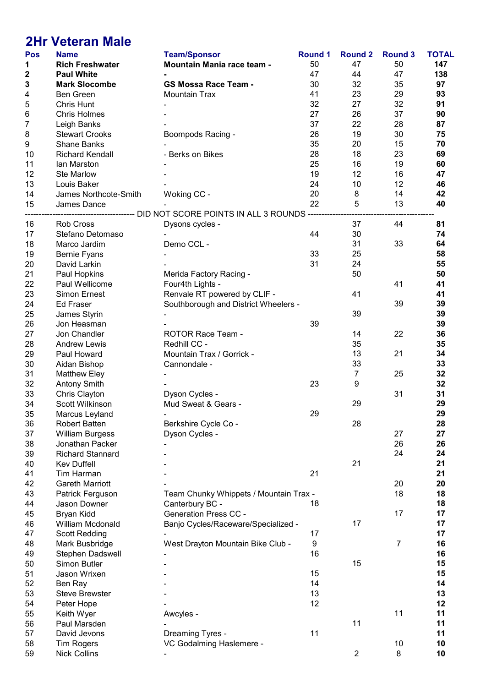# 2Hr Veteran Male

| <b>Pos</b> | <b>Name</b>             | <b>Team/Sponsor</b>                                                         | <b>Round 1</b> | <b>Round 2</b>   | <b>Round 3</b> | <b>TOTAL</b> |
|------------|-------------------------|-----------------------------------------------------------------------------|----------------|------------------|----------------|--------------|
| 1          | <b>Rich Freshwater</b>  | Mountain Mania race team -                                                  | 50             | 47               | 50             | 147          |
| 2          | <b>Paul White</b>       |                                                                             | 47             | 44               | 47             | 138          |
| 3          | <b>Mark Slocombe</b>    | <b>GS Mossa Race Team -</b>                                                 | 30             | 32               | 35             | 97           |
| 4          | Ben Green               | <b>Mountain Trax</b>                                                        | 41             | 23               | 29             | 93           |
| 5          | Chris Hunt              |                                                                             | 32             | 27               | 32             | 91           |
| 6          | <b>Chris Holmes</b>     |                                                                             | 27             | 26               | 37             | 90           |
| 7          | Leigh Banks             |                                                                             | 37             | 22               | 28             | 87           |
| 8          | <b>Stewart Crooks</b>   | Boompods Racing -                                                           | 26             | 19               | 30             | 75           |
| 9          | <b>Shane Banks</b>      |                                                                             | 35             | 20               | 15             | 70           |
|            | <b>Richard Kendall</b>  |                                                                             | 28             | 18               | 23             | 69           |
| 10         |                         | - Berks on Bikes                                                            |                |                  |                |              |
| 11         | lan Marston             |                                                                             | 25             | 16               | 19             | 60           |
| 12         | <b>Ste Marlow</b>       |                                                                             | 19             | 12               | 16             | 47           |
| 13         | Louis Baker             |                                                                             | 24             | 10               | 12             | 46           |
| 14         | James Northcote-Smith   | Woking CC -                                                                 | 20             | 8                | 14             | 42           |
| 15         | James Dance             |                                                                             | 22             | 5                | 13             | 40           |
|            |                         | ------------------------ DID NOT SCORE POINTS IN ALL 3 ROUNDS ------------- |                |                  |                |              |
| 16         | Rob Cross               | Dysons cycles -                                                             |                | 37               | 44             | 81           |
| 17         | Stefano Detomaso        |                                                                             | 44             | 30               |                | 74           |
| 18         | Marco Jardim            | Demo CCL -                                                                  |                | 31               | 33             | 64           |
| 19         | <b>Bernie Fyans</b>     |                                                                             | 33             | 25               |                | 58           |
| 20         | David Larkin            |                                                                             | 31             | 24               |                | 55           |
| 21         | Paul Hopkins            | Merida Factory Racing -                                                     |                | 50               |                | 50           |
| 22         | Paul Wellicome          | Four4th Lights -                                                            |                |                  | 41             | 41           |
| 23         | <b>Simon Ernest</b>     | Renvale RT powered by CLIF -                                                |                | 41               |                | 41           |
| 24         | <b>Ed Fraser</b>        | Southborough and District Wheelers -                                        |                |                  | 39             | 39           |
| 25         | James Styrin            |                                                                             |                | 39               |                | 39           |
| 26         | Jon Heasman             |                                                                             | 39             |                  |                | 39           |
| 27         | Jon Chandler            | <b>ROTOR Race Team -</b>                                                    |                | 14               | 22             | 36           |
| 28         | <b>Andrew Lewis</b>     | Redhill CC -                                                                |                | 35               |                | 35           |
| 29         | Paul Howard             | Mountain Trax / Gorrick -                                                   |                | 13               | 21             | 34           |
|            |                         |                                                                             |                | 33               |                | 33           |
| 30         | Aidan Bishop            | Cannondale -                                                                |                |                  |                |              |
| 31         | <b>Matthew Eley</b>     |                                                                             |                | $\boldsymbol{7}$ | 25             | 32           |
| 32         | <b>Antony Smith</b>     |                                                                             | 23             | $\boldsymbol{9}$ |                | 32           |
| 33         | Chris Clayton           | Dyson Cycles -                                                              |                |                  | 31             | 31           |
| 34         | Scott Wilkinson         | Mud Sweat & Gears -                                                         |                | 29               |                | 29           |
| 35         | Marcus Leyland          |                                                                             | 29             |                  |                | 29           |
| 36         | <b>Robert Batten</b>    | Berkshire Cycle Co -                                                        |                | 28               |                | 28           |
| 37         | <b>William Burgess</b>  | Dyson Cycles -                                                              |                |                  | 27             | 27           |
| 38         | Jonathan Packer         |                                                                             |                |                  | 26             | 26           |
| 39         | <b>Richard Stannard</b> |                                                                             |                |                  | 24             | 24           |
| 40         | <b>Kev Duffell</b>      |                                                                             |                | 21               |                | 21           |
| 41         | Tim Harman              |                                                                             | 21             |                  |                | 21           |
| 42         | <b>Gareth Marriott</b>  |                                                                             |                |                  | 20             | 20           |
| 43         | Patrick Ferguson        | Team Chunky Whippets / Mountain Trax -                                      |                |                  | 18             | 18           |
| 44         | Jason Downer            | Canterbury BC -                                                             | 18             |                  |                | 18           |
| 45         | Bryan Kidd              | <b>Generation Press CC -</b>                                                |                |                  | 17             | 17           |
| 46         | William Mcdonald        | Banjo Cycles/Raceware/Specialized -                                         |                | 17               |                | 17           |
| 47         | <b>Scott Redding</b>    |                                                                             | 17             |                  |                | 17           |
| 48         | Mark Busbridge          | West Drayton Mountain Bike Club -                                           | 9              |                  | $\overline{7}$ | 16           |
| 49         | Stephen Dadswell        |                                                                             | 16             |                  |                | 16           |
| 50         | Simon Butler            |                                                                             |                | 15               |                | 15           |
| 51         | Jason Wrixen            |                                                                             | 15             |                  |                | 15           |
| 52         | Ben Ray                 |                                                                             | 14             |                  |                | 14           |
|            |                         |                                                                             | 13             |                  |                |              |
| 53         | <b>Steve Brewster</b>   |                                                                             |                |                  |                | 13           |
| 54         | Peter Hope              |                                                                             | 12             |                  |                | 12           |
| 55         | Keith Wyer              | Awcyles -                                                                   |                |                  | 11             | 11           |
| 56         | Paul Marsden            |                                                                             |                | 11               |                | 11           |
| 57         | David Jevons            | Dreaming Tyres -                                                            | 11             |                  |                | 11           |
| 58         | <b>Tim Rogers</b>       | VC Godalming Haslemere -                                                    |                |                  | 10             | 10           |
| 59         | <b>Nick Collins</b>     |                                                                             |                | $\overline{2}$   | 8              | 10           |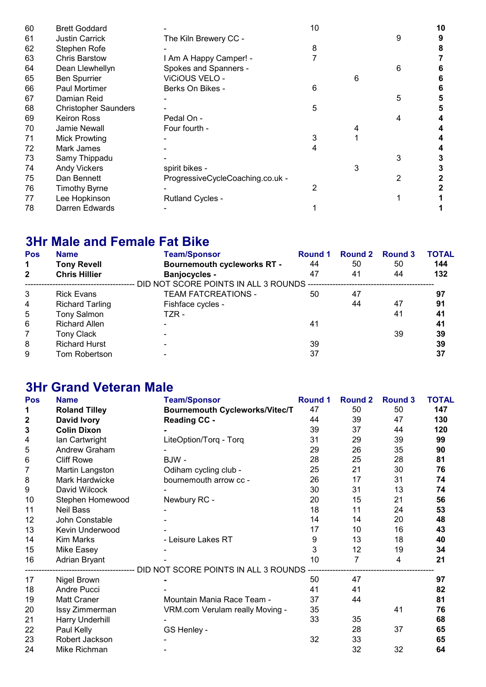| 60 | <b>Brett Goddard</b>        |                                  | 10 |   |   | 10 |
|----|-----------------------------|----------------------------------|----|---|---|----|
| 61 | <b>Justin Carrick</b>       | The Kiln Brewery CC -            |    |   | 9 | 9  |
| 62 | Stephen Rofe                |                                  | 8  |   |   | 8  |
| 63 | <b>Chris Barstow</b>        | I Am A Happy Camper! -           |    |   |   |    |
| 64 | Dean Llewhellyn             | Spokes and Spanners -            |    |   | 6 |    |
| 65 | <b>Ben Spurrier</b>         | ViCiOUS VELO -                   |    | 6 |   | 6  |
| 66 | Paul Mortimer               | Berks On Bikes -                 | 6  |   |   | 6  |
| 67 | Damian Reid                 |                                  |    |   | 5 | 5  |
| 68 | <b>Christopher Saunders</b> |                                  | 5  |   |   | 5  |
| 69 | <b>Keiron Ross</b>          | Pedal On -                       |    |   | 4 |    |
| 70 | Jamie Newall                | Four fourth -                    |    |   |   |    |
| 71 | <b>Mick Prowting</b>        |                                  | 3  |   |   |    |
| 72 | Mark James                  |                                  | 4  |   |   |    |
| 73 | Samy Thippadu               |                                  |    |   | 3 |    |
| 74 | <b>Andy Vickers</b>         | spirit bikes -                   |    | 3 |   | 3  |
| 75 | Dan Bennett                 | ProgressiveCycleCoaching.co.uk - |    |   | 2 |    |
| 76 | <b>Timothy Byrne</b>        |                                  | 2  |   |   |    |
| 77 | Lee Hopkinson               | <b>Rutland Cycles -</b>          |    |   |   |    |
| 78 | Darren Edwards              |                                  |    |   |   |    |

### 3Hr Male and Female Fat Bike

| <b>Pos</b>     | <b>Name</b>            | <b>Team/Sponsor</b>                     | Round 1 | <b>Round 2</b> | <b>Round 3</b> | <b>TOTAL</b> |
|----------------|------------------------|-----------------------------------------|---------|----------------|----------------|--------------|
| $\mathbf 1$    | <b>Tony Revell</b>     | <b>Bournemouth cycleworks RT -</b>      | 44      | 50             | 50             | 144          |
| $\overline{2}$ | <b>Chris Hillier</b>   | <b>Banjocycles -</b>                    | 47      | 41             | 44             | 132          |
|                |                        | DID NOT SCORE POINTS IN ALL 3 ROUNDS -- |         |                |                |              |
| 3              | <b>Rick Evans</b>      | <b>TEAM FATCREATIONS -</b>              | 50      | 47             |                | 97           |
| 4              | <b>Richard Tarling</b> | Fishface cycles -                       |         | 44             | 47             | 91           |
| 5              | <b>Tony Salmon</b>     | TZR -                                   |         |                | 41             | 41           |
| 6              | <b>Richard Allen</b>   | $\blacksquare$                          | 41      |                |                | 41           |
| 7              | <b>Tony Clack</b>      |                                         |         |                | 39             | 39           |
| 8              | <b>Richard Hurst</b>   |                                         | 39      |                |                | 39           |
| 9              | Tom Robertson          | $\overline{\phantom{0}}$                | 37      |                |                | 37           |

#### 3Hr Grand Veteran Male

| Pos         | <b>Name</b>          | <b>Team/Sponsor</b>                                               | <b>Round 1</b> | <b>Round 2</b> | <b>Round 3</b> | <b>TOTAL</b> |
|-------------|----------------------|-------------------------------------------------------------------|----------------|----------------|----------------|--------------|
| 1           | <b>Roland Tilley</b> | <b>Bournemouth Cycleworks/Vitec/T</b>                             | 47             | 50             | 50             | 147          |
| $\mathbf 2$ | David Ivory          | <b>Reading CC -</b>                                               | 44             | 39             | 47             | 130          |
| 3           | <b>Colin Dixon</b>   |                                                                   | 39             | 37             | 44             | 120          |
| 4           | Ian Cartwright       | LiteOption/Torq - Torq                                            | 31             | 29             | 39             | 99           |
| 5           | Andrew Graham        |                                                                   | 29             | 26             | 35             | 90           |
| 6           | <b>Cliff Rowe</b>    | BJW-                                                              | 28             | 25             | 28             | 81           |
| 7           | Martin Langston      | Odiham cycling club -                                             | 25             | 21             | 30             | 76           |
| 8           | Mark Hardwicke       | bournemouth arrow cc -                                            | 26             | 17             | 31             | 74           |
| 9           | David Wilcock        |                                                                   | 30             | 31             | 13             | 74           |
| 10          | Stephen Homewood     | Newbury RC -                                                      | 20             | 15             | 21             | 56           |
| 11          | <b>Neil Bass</b>     |                                                                   | 18             | 11             | 24             | 53           |
| 12          | John Constable       |                                                                   | 14             | 14             | 20             | 48           |
| 13          | Kevin Underwood      |                                                                   | 17             | 10             | 16             | 43           |
| 14          | Kim Marks            | - Leisure Lakes RT                                                | 9              | 13             | 18             | 40           |
| 15          | Mike Easey           |                                                                   | 3              | 12             | 19             | 34           |
| 16          | Adrian Bryant        |                                                                   | 10             | $\overline{7}$ | 4              | 21           |
|             |                      | ---------------------------- DID NOT SCORE POINTS IN ALL 3 ROUNDS |                |                |                |              |
| 17          | Nigel Brown          |                                                                   | 50             | 47             |                | 97           |
| 18          | Andre Pucci          |                                                                   | 41             | 41             |                | 82           |
| 19          | Matt Craner          | Mountain Mania Race Team -                                        | 37             | 44             |                | 81           |
| 20          | Issy Zimmerman       | VRM.com Verulam really Moving -                                   | 35             |                | 41             | 76           |
| 21          | Harry Underhill      |                                                                   | 33             | 35             |                | 68           |
| 22          | Paul Kelly           | GS Henley -                                                       |                | 28             | 37             | 65           |
| 23          | Robert Jackson       |                                                                   | 32             | 33             |                | 65           |
| 24          | Mike Richman         |                                                                   |                | 32             | 32             | 64           |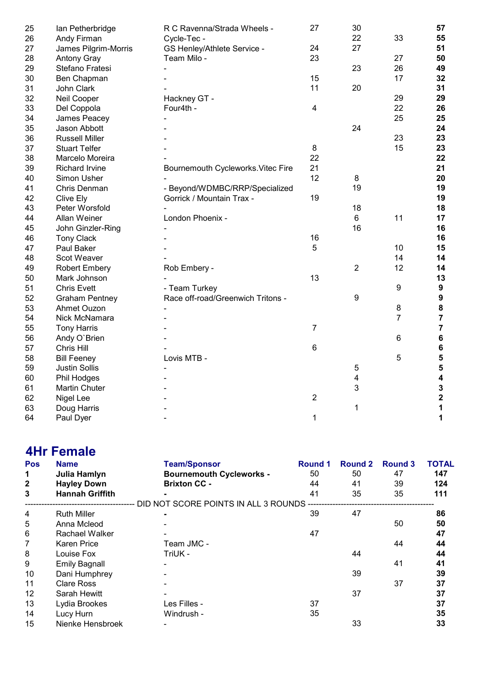| 25 | Ian Petherbridge      | R C Ravenna/Strada Wheels -        | 27                      | 30             |                 | 57                      |
|----|-----------------------|------------------------------------|-------------------------|----------------|-----------------|-------------------------|
| 26 | Andy Firman           | Cycle-Tec -                        |                         | 22             | 33              | 55                      |
| 27 | James Pilgrim-Morris  | GS Henley/Athlete Service -        | 24                      | 27             |                 | 51                      |
| 28 | <b>Antony Gray</b>    | Team Milo -                        | 23                      |                | 27              | 50                      |
| 29 | Stefano Fratesi       |                                    |                         | 23             | 26              | 49                      |
| 30 | Ben Chapman           |                                    | 15                      |                | 17              | 32                      |
| 31 | John Clark            |                                    | 11                      | 20             |                 | 31                      |
| 32 | Neil Cooper           | Hackney GT -                       |                         |                | 29              | 29                      |
| 33 | Del Coppola           | Four4th -                          | $\overline{\mathbf{4}}$ |                | 22              | 26                      |
| 34 | James Peacey          |                                    |                         |                | 25              | 25                      |
| 35 | Jason Abbott          |                                    |                         | 24             |                 | 24                      |
| 36 | <b>Russell Miller</b> |                                    |                         |                | 23              | 23                      |
| 37 | <b>Stuart Telfer</b>  |                                    | $\bf 8$                 |                | 15              | 23                      |
| 38 | Marcelo Moreira       |                                    | 22                      |                |                 | 22                      |
| 39 | <b>Richard Irvine</b> | Bournemouth Cycleworks. Vitec Fire | 21                      |                |                 | 21                      |
| 40 | Simon Usher           |                                    | 12                      | 8              |                 | 20                      |
| 41 | Chris Denman          | - Beyond/WDMBC/RRP/Specialized     |                         | 19             |                 | 19                      |
| 42 | Clive Ely             | Gorrick / Mountain Trax -          | 19                      |                |                 | 19                      |
| 43 | Peter Worsfold        |                                    |                         | 18             |                 | 18                      |
| 44 | Allan Weiner          | London Phoenix -                   |                         | 6              | 11              | 17                      |
| 45 | John Ginzler-Ring     |                                    |                         | 16             |                 | 16                      |
| 46 | <b>Tony Clack</b>     |                                    | 16                      |                |                 | 16                      |
| 47 | Paul Baker            |                                    | 5                       |                | 10              | 15                      |
| 48 | Scot Weaver           |                                    |                         |                | 14              | 14                      |
| 49 | <b>Robert Embery</b>  | Rob Embery -                       |                         | $\overline{2}$ | 12              | 14                      |
| 50 | Mark Johnson          |                                    | 13                      |                |                 | 13                      |
| 51 | <b>Chris Evett</b>    | - Team Turkey                      |                         |                | 9               | $\boldsymbol{9}$        |
| 52 | <b>Graham Pentney</b> | Race off-road/Greenwich Tritons -  |                         | 9              |                 | 9                       |
| 53 | Ahmet Ouzon           |                                    |                         |                | 8               | $\pmb{8}$               |
| 54 | Nick McNamara         |                                    |                         |                | $\overline{7}$  | $\overline{7}$          |
| 55 | <b>Tony Harris</b>    |                                    | 7                       |                |                 | $\overline{7}$          |
| 56 | Andy O'Brien          |                                    |                         |                | $6\phantom{1}6$ | $\bf 6$                 |
| 57 | Chris Hill            |                                    | 6                       |                |                 | $\bf 6$                 |
| 58 | <b>Bill Feeney</b>    | Lovis MTB -                        |                         |                | 5               | 5                       |
| 59 | <b>Justin Sollis</b>  |                                    |                         | 5              |                 | 5                       |
| 60 | Phil Hodges           |                                    |                         | 4              |                 | $\overline{\mathbf{4}}$ |
| 61 | Martin Chuter         |                                    |                         | $\mathbf{3}$   |                 | $\overline{\mathbf{3}}$ |
| 62 | Nigel Lee             |                                    | $\overline{2}$          |                |                 | $\overline{\mathbf{2}}$ |
| 63 | Doug Harris           |                                    |                         | 1              |                 | 1                       |
| 64 | Paul Dyer             |                                    | 1                       |                |                 | 1                       |
|    |                       |                                    |                         |                |                 |                         |

### 4Hr Female

| <b>Pos</b>   | <b>Name</b>            | <b>Team/Sponsor</b>                  | <b>Round 1</b> | <b>Round 2</b> | <b>Round 3</b> | <b>TOTAL</b> |
|--------------|------------------------|--------------------------------------|----------------|----------------|----------------|--------------|
| 1            | Julia Hamlyn           | <b>Bournemouth Cycleworks -</b>      | 50             | 50             | 47             | 147          |
| $\mathbf{2}$ | <b>Hayley Down</b>     | <b>Brixton CC -</b>                  | 44             | 41             | 39             | 124          |
| 3            | <b>Hannah Griffith</b> |                                      | 41             | 35             | 35             | 111          |
|              |                        | DID NOT SCORE POINTS IN ALL 3 ROUNDS |                |                |                |              |
| 4            | <b>Ruth Miller</b>     |                                      | 39             | 47             |                | 86           |
| 5            | Anna Mcleod            |                                      |                |                | 50             | 50           |
| 6            | Rachael Walker         |                                      | 47             |                |                | 47           |
| 7            | <b>Karen Price</b>     | Team JMC -                           |                |                | 44             | 44           |
| 8            | Louise Fox             | TriUK -                              |                | 44             |                | 44           |
| 9            | <b>Emily Bagnall</b>   |                                      |                |                | 41             | 41           |
| 10           | Dani Humphrey          |                                      |                | 39             |                | 39           |
| 11           | <b>Clare Ross</b>      |                                      |                |                | 37             | 37           |
| 12           | Sarah Hewitt           |                                      |                | 37             |                | 37           |
| 13           | Lydia Brookes          | Les Filles -                         | 37             |                |                | 37           |
| 14           | Lucy Hurn              | Windrush -                           | 35             |                |                | 35           |
| 15           | Nienke Hensbroek       |                                      |                | 33             |                | 33           |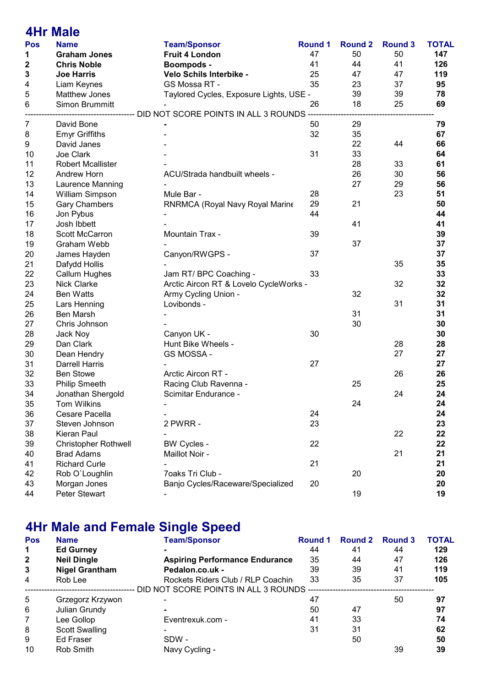|                | <b>4Hr Male</b>             |                                                                                  |                |                |                |              |
|----------------|-----------------------------|----------------------------------------------------------------------------------|----------------|----------------|----------------|--------------|
| <b>Pos</b>     | <b>Name</b>                 | <b>Team/Sponsor</b>                                                              | <b>Round 1</b> | <b>Round 2</b> | <b>Round 3</b> | <b>TOTAL</b> |
| 1              | <b>Graham Jones</b>         | <b>Fruit 4 London</b>                                                            | 47             | 50             | 50             | 147          |
| 2              | <b>Chris Noble</b>          | <b>Boompods -</b>                                                                | 41             | 44             | 41             | 126          |
| 3              | <b>Joe Harris</b>           | Velo Schils Interbike -                                                          | 25             | 47             | 47             | 119          |
| 4              | Liam Keynes                 | GS Mossa RT -                                                                    | 35             | 23             | 37             | 95           |
| 5              | Matthew Jones               | Taylored Cycles, Exposure Lights, USE -                                          |                | 39             | 39             | 78           |
| 6              | Simon Brummitt              |                                                                                  | 26             | 18             | 25             | 69           |
|                |                             | ---------------------------- DID NOT SCORE POINTS IN ALL 3 ROUNDS -------------- |                |                |                |              |
| $\overline{7}$ | David Bone                  |                                                                                  | 50             | 29             |                | 79           |
| 8              | <b>Emyr Griffiths</b>       |                                                                                  | 32             | 35             |                | 67           |
| 9              | David Janes                 |                                                                                  |                | 22             | 44             | 66           |
| 10             | Joe Clark                   |                                                                                  | 31             | 33             |                | 64           |
| 11             | <b>Robert Mcallister</b>    |                                                                                  |                | 28             | 33             | 61           |
| 12             | <b>Andrew Horn</b>          | ACU/Strada handbuilt wheels -                                                    |                | 26             | 30             | 56           |
| 13             | Laurence Manning            |                                                                                  |                | 27             | 29             | 56           |
| 14             | William Simpson             | Mule Bar -                                                                       | 28             |                | 23             | 51           |
| 15             | <b>Gary Chambers</b>        | RNRMCA (Royal Navy Royal Marine                                                  | 29             | 21             |                | 50           |
| 16             | Jon Pybus                   |                                                                                  | 44             |                |                | 44           |
| 17             | Josh Ibbett                 |                                                                                  |                | 41             |                | 41           |
| 18             | Scott McCarron              | Mountain Trax -                                                                  | 39             |                |                | 39           |
| 19             | Graham Webb                 |                                                                                  |                | 37             |                | 37           |
| 20             | James Hayden                | Canyon/RWGPS -                                                                   | 37             |                |                | 37           |
| 21             | Dafydd Hollis               |                                                                                  |                |                | 35             | 35           |
| 22             | Callum Hughes               | Jam RT/ BPC Coaching -                                                           | 33             |                |                | 33           |
| 23             | <b>Nick Clarke</b>          | Arctic Aircon RT & Lovelo CycleWorks -                                           |                |                | 32             | 32           |
| 24             | <b>Ben Watts</b>            | Army Cycling Union -                                                             |                | 32             |                | 32           |
| 25             | Lars Henning                | Lovibonds -                                                                      |                |                | 31             | 31           |
| 26             | Ben Marsh                   |                                                                                  |                | 31             |                | 31           |
| 27             | Chris Johnson               |                                                                                  |                | 30             |                | 30           |
| 28             | Jack Noy                    | Canyon UK -                                                                      | 30             |                |                | 30           |
| 29             | Dan Clark                   | Hunt Bike Wheels -                                                               |                |                | 28             | 28           |
| 30             | Dean Hendry                 | GS MOSSA -                                                                       |                |                | 27             | 27           |
| 31             | <b>Darrell Harris</b>       |                                                                                  | 27             |                |                | 27           |
| 32             | <b>Ben Stowe</b>            | Arctic Aircon RT -                                                               |                |                | 26             | 26           |
| 33             | <b>Philip Smeeth</b>        | Racing Club Ravenna -                                                            |                | 25             |                | 25           |
| 34             | Jonathan Shergold           | Scimitar Endurance -                                                             |                |                | 24             | 24           |
| 35             | <b>Tom Wilkins</b>          |                                                                                  |                | 24             |                | 24           |
| 36             | Cesare Pacella              |                                                                                  | 24             |                |                | 24           |
| 37             | Steven Johnson              | 2 PWRR -                                                                         | 23             |                |                | 23           |
| 38             | Kieran Paul                 |                                                                                  |                |                | 22             | 22           |
| 39             | <b>Christopher Rothwell</b> | <b>BW Cycles -</b>                                                               | 22             |                |                | 22           |
| 40             | <b>Brad Adams</b>           | Maillot Noir -                                                                   |                |                | 21             | 21           |
| 41             | <b>Richard Curle</b>        |                                                                                  | 21             |                |                | 21           |
| 42             | Rob O'Loughlin              | 7oaks Tri Club -                                                                 |                | 20             |                | 20           |
| 43             | Morgan Jones                | Banjo Cycles/Raceware/Specialized                                                | 20             |                |                | 20           |
| 44             | Peter Stewart               |                                                                                  |                | 19             |                | 19           |

## 4Hr Male and Female Single Speed

| <b>Name</b>           | <b>Team/Sponsor</b>                   | <b>Round 1</b> | <b>Round 2</b>                       | <b>Round 3</b> | <b>TOTAL</b> |
|-----------------------|---------------------------------------|----------------|--------------------------------------|----------------|--------------|
| <b>Ed Gurney</b>      |                                       | 44             | 41                                   | 44             | 129          |
| <b>Neil Dingle</b>    | <b>Aspiring Performance Endurance</b> | 35             | 44                                   | 47             | 126          |
| <b>Nigel Grantham</b> | Pedalon.co.uk -                       | 39             | 39                                   | 41             | 119          |
| Rob Lee               | Rockets Riders Club / RLP Coachin     | 33             | 35                                   | 37             | 105          |
|                       |                                       |                |                                      |                |              |
| Grzegorz Krzywon      |                                       | 47             |                                      | 50             | 97           |
| Julian Grundy         |                                       | 50             | 47                                   |                | 97           |
| Lee Gollop            | Eventrexuk.com -                      | 41             | 33                                   |                | 74           |
| <b>Scott Swalling</b> |                                       | 31             | 31                                   |                | 62           |
| <b>Ed Fraser</b>      | SDW -                                 |                | 50                                   |                | 50           |
| Rob Smith             | Navy Cycling -                        |                |                                      | 39             | 39           |
|                       |                                       |                | DID NOT SCORE POINTS IN ALL 3 ROUNDS |                |              |